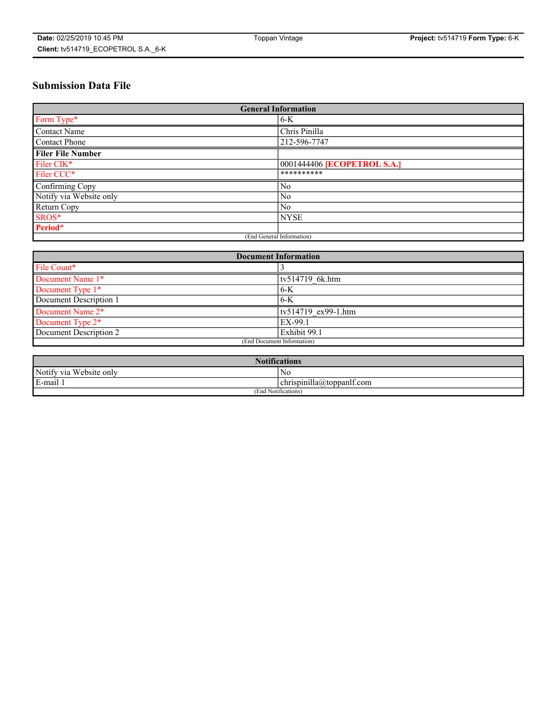# **Submission Data File**

| <b>General Information</b> |                             |
|----------------------------|-----------------------------|
| Form Type*                 | $6-K$                       |
| Contact Name               | Chris Pinilla               |
| <b>Contact Phone</b>       | 212-596-7747                |
| <b>Filer File Number</b>   |                             |
| Filer CIK*                 | 0001444406 [ECOPETROL S.A.] |
| Filer CCC*                 | **********                  |
| Confirming Copy            | N <sub>0</sub>              |
| Notify via Website only    | No                          |
| Return Copy                | No                          |
| SROS*                      | <b>NYSE</b>                 |
| Period*                    |                             |
| (End General Information)  |                             |

| <b>Document Information</b> |                     |
|-----------------------------|---------------------|
| File Count*                 |                     |
| Document Name 1*            | tv514719 6k.htm     |
| Document Type 1*            | $6-K$               |
| Document Description 1      | $6-K$               |
| Document Name 2*            | tv514719 ex99-1.htm |
| Document Type 2*            | EX-99.1             |
| Document Description 2      | Exhibit 99.1        |
| (End Document Information)  |                     |

| <b>Notifications</b>    |                           |  |
|-------------------------|---------------------------|--|
| Notify via Website only | N0                        |  |
| E-mail 1                | chrispinilla@toppanif.com |  |
| (End Notifications)     |                           |  |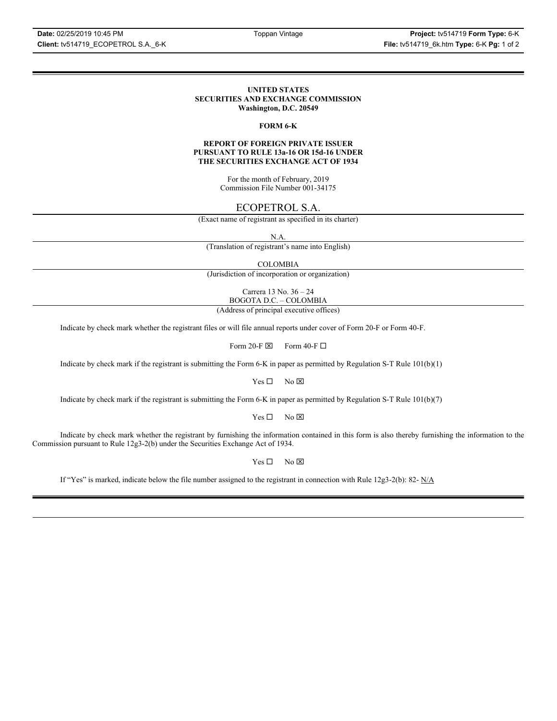#### **UNITED STATES SECURITIES AND EXCHANGE COMMISSION Washington, D.C. 20549**

### **FORM 6-K**

### **REPORT OF FOREIGN PRIVATE ISSUER PURSUANT TO RULE 13a-16 OR 15d-16 UNDER THE SECURITIES EXCHANGE ACT OF 1934**

For the month of February, 2019 Commission File Number 001-34175

## ECOPETROL S.A.

(Exact name of registrant as specified in its charter)

N.A.

(Translation of registrant's name into English)

COLOMBIA

(Jurisdiction of incorporation or organization)

Carrera 13 No. 36 – 24 BOGOTA D.C. – COLOMBIA

(Address of principal executive offices)

Indicate by check mark whether the registrant files or will file annual reports under cover of Form 20-F or Form 40-F.

Form 20-F  $\boxtimes$  Form 40-F  $\Box$ 

Indicate by check mark if the registrant is submitting the Form 6-K in paper as permitted by Regulation S-T Rule 101(b)(1)

 $Yes \Box$  No  $\boxtimes$ 

Indicate by check mark if the registrant is submitting the Form 6-K in paper as permitted by Regulation S-T Rule 101(b)(7)

 $Yes \Box$  No  $\boxtimes$ 

Indicate by check mark whether the registrant by furnishing the information contained in this form is also thereby furnishing the information to the Commission pursuant to Rule 12g3-2(b) under the Securities Exchange Act of 1934.

 $Yes \Box$  No  $\boxtimes$ 

If "Yes" is marked, indicate below the file number assigned to the registrant in connection with Rule 12g3-2(b): 82-  $N/A$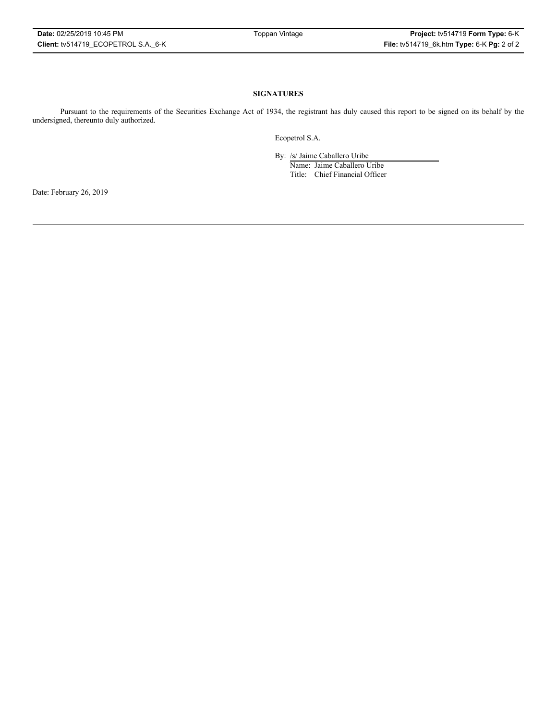## **SIGNATURES**

Pursuant to the requirements of the Securities Exchange Act of 1934, the registrant has duly caused this report to be signed on its behalf by the undersigned, thereunto duly authorized.

Ecopetrol S.A.

By: /s/ Jaime Caballero Uribe

Name: Jaime Caballero Uribe Title: Chief Financial Officer

Date: February 26, 2019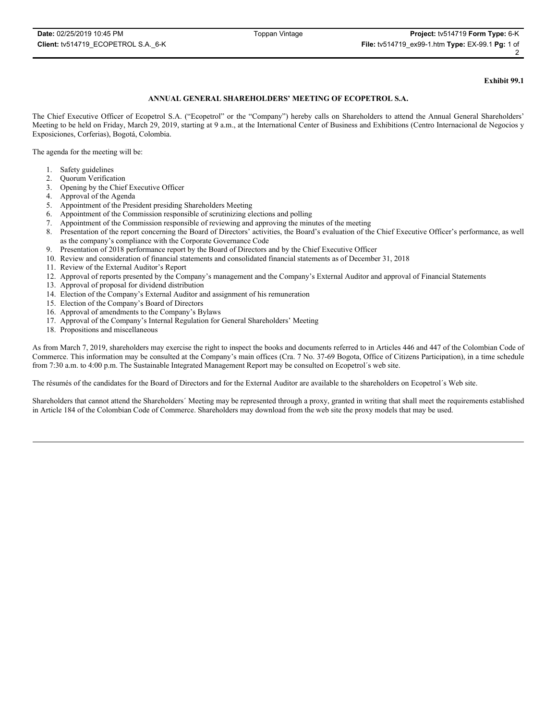#### **Exhibit 99.1**

#### **ANNUAL GENERAL SHAREHOLDERS' MEETING OF ECOPETROL S.A.**

The Chief Executive Officer of Ecopetrol S.A. ("Ecopetrol" or the "Company") hereby calls on Shareholders to attend the Annual General Shareholders' Meeting to be held on Friday, March 29, 2019, starting at 9 a.m., at the International Center of Business and Exhibitions (Centro Internacional de Negocios y Exposiciones, Corferias), Bogotá, Colombia.

The agenda for the meeting will be:

- 1. Safety guidelines
- 2. Quorum Verification
- 3. Opening by the Chief Executive Officer
- 4. Approval of the Agenda
- 5. Appointment of the President presiding Shareholders Meeting
- 6. Appointment of the Commission responsible of scrutinizing elections and polling
- 7. Appointment of the Commission responsible of reviewing and approving the minutes of the meeting
- 8. Presentation of the report concerning the Board of Directors' activities, the Board's evaluation of the Chief Executive Officer's performance, as well as the company's compliance with the Corporate Governance Code
- 9. Presentation of 2018 performance report by the Board of Directors and by the Chief Executive Officer
- 10. Review and consideration of financial statements and consolidated financial statements as of December 31, 2018
- 11. Review of the External Auditor's Report
- 12. Approval of reports presented by the Company's management and the Company's External Auditor and approval of Financial Statements
- 13. Approval of proposal for dividend distribution
- 14. Election of the Company's External Auditor and assignment of his remuneration
- 15. Election of the Company's Board of Directors
- 16. Approval of amendments to the Company's Bylaws
- 17. Approval of the Company's Internal Regulation for General Shareholders' Meeting
- 18. Propositions and miscellaneous

As from March 7, 2019, shareholders may exercise the right to inspect the books and documents referred to in Articles 446 and 447 of the Colombian Code of Commerce. This information may be consulted at the Company's main offices (Cra. 7 No. 37-69 Bogota, Office of Citizens Participation), in a time schedule from 7:30 a.m. to 4:00 p.m. The Sustainable Integrated Management Report may be consulted on Ecopetrol´s web site.

The résumés of the candidates for the Board of Directors and for the External Auditor are available to the shareholders on Ecopetrol´s Web site.

Shareholders that cannot attend the Shareholders´ Meeting may be represented through a proxy, granted in writing that shall meet the requirements established in Article 184 of the Colombian Code of Commerce. Shareholders may download from the web site the proxy models that may be used.